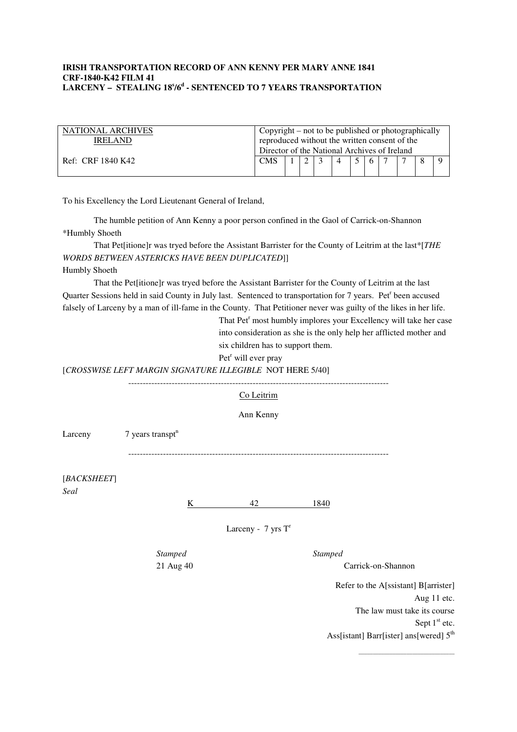## **IRISH TRANSPORTATION RECORD OF ANN KENNY PER MARY ANNE 1841 CRF-1840-K42 FILM 41 LARCENY – STEALING 18<sup>s</sup> /6<sup>d</sup> - SENTENCED TO 7 YEARS TRANSPORTATION**

| NATIONAL ARCHIVES<br>IREL AND | Copyright – not to be published or photographically<br>reproduced without the written consent of the |  |  |  |  |  |     |  |  |  |  |
|-------------------------------|------------------------------------------------------------------------------------------------------|--|--|--|--|--|-----|--|--|--|--|
|                               | Director of the National Archives of Ireland                                                         |  |  |  |  |  |     |  |  |  |  |
| Ref: CRF 1840 K42             | <b>CMS</b>                                                                                           |  |  |  |  |  | 6 7 |  |  |  |  |
|                               |                                                                                                      |  |  |  |  |  |     |  |  |  |  |

To his Excellency the Lord Lieutenant General of Ireland,

The humble petition of Ann Kenny a poor person confined in the Gaol of Carrick-on-Shannon \*Humbly Shoeth

 That Pet[itione]r was tryed before the Assistant Barrister for the County of Leitrim at the last\*[*THE WORDS BETWEEN ASTERICKS HAVE BEEN DUPLICATED*]]

Humbly Shoeth

 That the Pet[itione]r was tryed before the Assistant Barrister for the County of Leitrim at the last Quarter Sessions held in said County in July last. Sentenced to transportation for 7 years. Pet<sup>r</sup> been accused falsely of Larceny by a man of ill-fame in the County. That Petitioner never was guilty of the likes in her life.

> That Pet<sup>r</sup> most humbly implores your Excellency will take her case into consideration as she is the only help her afflicted mother and six children has to support them.

Pet<sup>r</sup> will ever pray

[*CROSSWISE LEFT MARGIN SIGNATURE ILLEGIBLE* NOT HERE 5/40]

|                     |                                | Co Leitrim                     |                                                     |
|---------------------|--------------------------------|--------------------------------|-----------------------------------------------------|
|                     |                                | Ann Kenny                      |                                                     |
| Larceny             | $7$ years transpt <sup>n</sup> |                                |                                                     |
|                     |                                |                                |                                                     |
| [BACKSHEET]<br>Seal |                                |                                |                                                     |
|                     | $\underline{K}$                | 42                             | 1840                                                |
|                     |                                | Larceny - $7 \text{ yrs } T^r$ |                                                     |
|                     | Stamped                        |                                | Stamped                                             |
|                     | 21 Aug 40                      |                                | Carrick-on-Shannon                                  |
|                     |                                |                                | Refer to the A[ssistant] B[arrister]<br>Aug 11 etc. |

Aug 11 etc. The law must take its course Sept  $1<sup>st</sup>$  etc. Ass[istant] Barr[ister] ans[wered]  $5<sup>th</sup>$ 

\_\_\_\_\_\_\_\_\_\_\_\_\_\_\_\_\_\_\_\_\_\_\_\_\_\_\_\_\_\_\_\_\_\_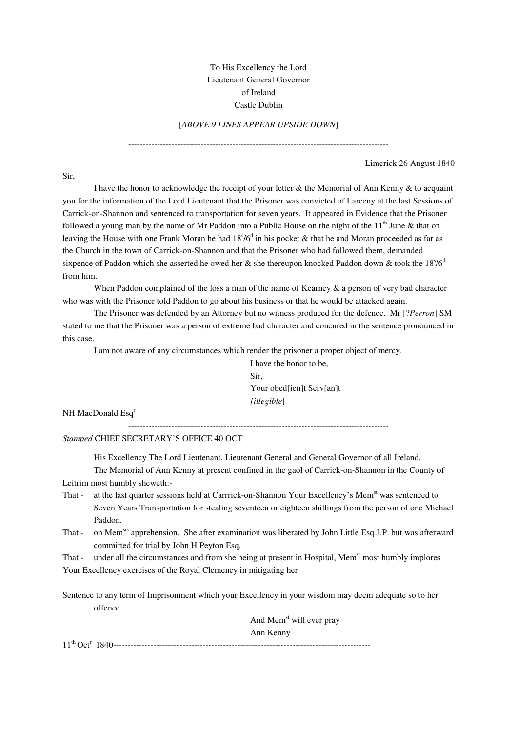## To His Excellency the Lord Lieutenant General Governor of Ireland Castle Dublin

## [*ABOVE 9 LINES APPEAR UPSIDE DOWN*]

------------------------------------------------------------------------------------------

Limerick 26 August 1840

Sir,

 I have the honor to acknowledge the receipt of your letter & the Memorial of Ann Kenny & to acquaint you for the information of the Lord Lieutenant that the Prisoner was convicted of Larceny at the last Sessions of Carrick-on-Shannon and sentenced to transportation for seven years. It appeared in Evidence that the Prisoner followed a young man by the name of Mr Paddon into a Public House on the night of the  $11<sup>th</sup>$  June & that on leaving the House with one Frank Moran he had  $18^{5}/6^{d}$  in his pocket & that he and Moran proceeded as far as the Church in the town of Carrick-on-Shannon and that the Prisoner who had followed them, demanded sixpence of Paddon which she asserted he owed her & she thereupon knocked Paddon down & took the  $18\%$ <sup>d</sup> from him.

When Paddon complained of the loss a man of the name of Kearney & a person of very bad character who was with the Prisoner told Paddon to go about his business or that he would be attacked again.

 The Prisoner was defended by an Attorney but no witness produced for the defence. Mr [?*Perron*] SM stated to me that the Prisoner was a person of extreme bad character and concured in the sentence pronounced in this case.

I am not aware of any circumstances which render the prisoner a proper object of mercy.

I have the honor to be, Sir, Your obed[ien]t Serv[an]t *[illegible*]

NH MacDonald Esq<sup>r</sup>

------------------------------------------------------------------------------------------

*Stamped* CHIEF SECRETARY'S OFFICE 40 OCT

His Excellency The Lord Lieutenant, Lieutenant General and General Governor of all Ireland.

 The Memorial of Ann Kenny at present confined in the gaol of Carrick-on-Shannon in the County of Leitrim most humbly sheweth:-

- That at the last quarter sessions held at Carrrick-on-Shannon Your Excellency's Mem<sup>st</sup> was sentenced to Seven Years Transportation for stealing seventeen or eighteen shillings from the person of one Michael Paddon.
- That on Mem<sup>sts</sup> apprehension. She after examination was liberated by John Little Esq J.P. but was afterward committed for trial by John H Peyton Esq.

That - under all the circumstances and from she being at present in Hospital, Mem<sup>st</sup> most humbly implores Your Excellency exercises of the Royal Clemency in mitigating her

Sentence to any term of Imprisonment which your Excellency in your wisdom may deem adequate so to her offence.

And Mem<sup>st</sup> will ever pray Ann Kenny 11th Oct<sup>r</sup>1840-----------------------------------------------------------------------------------------